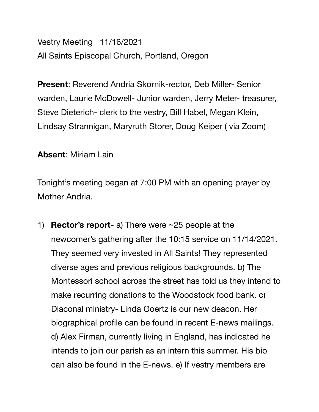Vestry Meeting 11/16/2021 All Saints Episcopal Church, Portland, Oregon

**Present**: Reverend Andria Skornik-rector, Deb Miller- Senior warden, Laurie McDowell- Junior warden, Jerry Meter- treasurer, Steve Dieterich- clerk to the vestry, Bill Habel, Megan Klein, Lindsay Strannigan, Maryruth Storer, Doug Keiper ( via Zoom)

**Absent**: Miriam Lain

Tonight's meeting began at 7:00 PM with an opening prayer by Mother Andria.

1) **Rector's report**- a) There were ~25 people at the newcomer's gathering after the 10:15 service on 11/14/2021. They seemed very invested in All Saints! They represented diverse ages and previous religious backgrounds. b) The Montessori school across the street has told us they intend to make recurring donations to the Woodstock food bank. c) Diaconal ministry- Linda Goertz is our new deacon. Her biographical profile can be found in recent E-news mailings. d) Alex Firman, currently living in England, has indicated he intends to join our parish as an intern this summer. His bio can also be found in the E-news. e) If vestry members are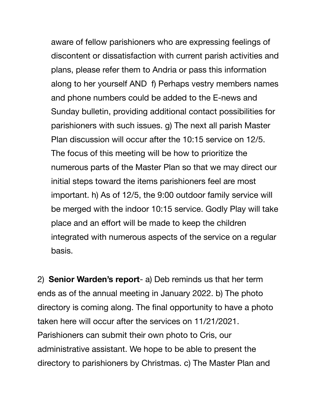aware of fellow parishioners who are expressing feelings of discontent or dissatisfaction with current parish activities and plans, please refer them to Andria or pass this information along to her yourself AND f) Perhaps vestry members names and phone numbers could be added to the E-news and Sunday bulletin, providing additional contact possibilities for parishioners with such issues. g) The next all parish Master Plan discussion will occur after the 10:15 service on 12/5. The focus of this meeting will be how to prioritize the numerous parts of the Master Plan so that we may direct our initial steps toward the items parishioners feel are most important. h) As of 12/5, the 9:00 outdoor family service will be merged with the indoor 10:15 service. Godly Play will take place and an effort will be made to keep the children integrated with numerous aspects of the service on a regular basis.

2) **Senior Warden's report**- a) Deb reminds us that her term ends as of the annual meeting in January 2022. b) The photo directory is coming along. The final opportunity to have a photo taken here will occur after the services on 11/21/2021. Parishioners can submit their own photo to Cris, our administrative assistant. We hope to be able to present the directory to parishioners by Christmas. c) The Master Plan and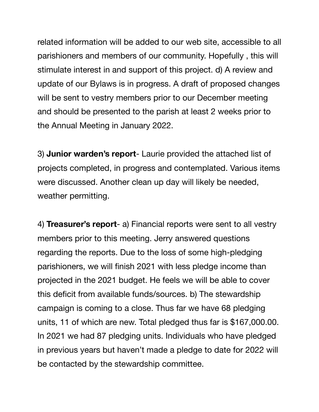related information will be added to our web site, accessible to all parishioners and members of our community. Hopefully , this will stimulate interest in and support of this project. d) A review and update of our Bylaws is in progress. A draft of proposed changes will be sent to vestry members prior to our December meeting and should be presented to the parish at least 2 weeks prior to the Annual Meeting in January 2022.

3) **Junior warden's report**- Laurie provided the attached list of projects completed, in progress and contemplated. Various items were discussed. Another clean up day will likely be needed, weather permitting.

4) **Treasurer's report**- a) Financial reports were sent to all vestry members prior to this meeting. Jerry answered questions regarding the reports. Due to the loss of some high-pledging parishioners, we will finish 2021 with less pledge income than projected in the 2021 budget. He feels we will be able to cover this deficit from available funds/sources. b) The stewardship campaign is coming to a close. Thus far we have 68 pledging units, 11 of which are new. Total pledged thus far is \$167,000.00. In 2021 we had 87 pledging units. Individuals who have pledged in previous years but haven't made a pledge to date for 2022 will be contacted by the stewardship committee.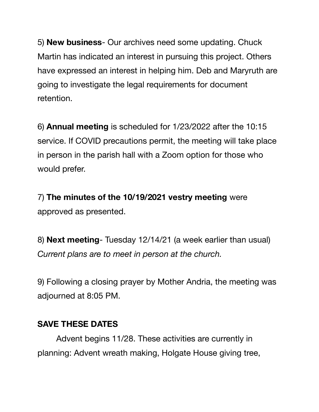5) **New business**- Our archives need some updating. Chuck Martin has indicated an interest in pursuing this project. Others have expressed an interest in helping him. Deb and Maryruth are going to investigate the legal requirements for document retention.

6) **Annual meeting** is scheduled for 1/23/2022 after the 10:15 service. If COVID precautions permit, the meeting will take place in person in the parish hall with a Zoom option for those who would prefer.

7) **The minutes of the 10/19/2021 vestry meeting** were approved as presented.

8) **Next meeting**- Tuesday 12/14/21 (a week earlier than usual) *Current plans are to meet in person at the church.* 

9) Following a closing prayer by Mother Andria, the meeting was adjourned at 8:05 PM.

## **SAVE THESE DATES**

Advent begins 11/28. These activities are currently in planning: Advent wreath making, Holgate House giving tree,